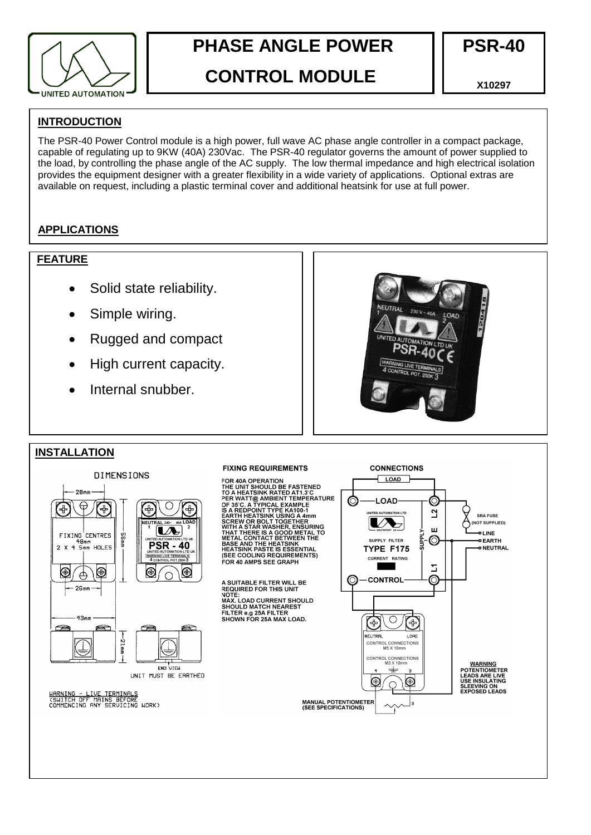

# **PHASE ANGLE POWER**

# **CONTROL MODULE**

**X10297**

# **INTRODUCTION**

The PSR-40 Power Control module is a high power, full wave AC phase angle controller in a compact package, capable of regulating up to 9KW (40A) 230Vac. The PSR-40 regulator governs the amount of power supplied to the load, by controlling the phase angle of the AC supply. The low thermal impedance and high electrical isolation provides the equipment designer with a greater flexibility in a wide variety of applications. Optional extras are available on request, including a plastic terminal cover and additional heatsink for use at full power.

# **APPLICATIONS**

### Suitable for quartz lamps, conventional resistive heating elements, including ovens, moulders and dryers and some inductive loads (e.g. transformers and motors). **FEATURE**

- Solid state reliability.
- Simple wiring.
- Rugged and compact
- High current capacity.
- Internal snubber.



**CONNECTIONS** 

C

 $\overline{a}$ 

 $\overline{111}$ 

 $\circledcirc$ 

 $\Sigma$ 

C

 $\overline{\phantom{a}}$  LOAD

-LOAD-

**NITED AUTOMATION LTD** 

 $\boldsymbol{V}$ 

SUPPLY FILTER

TYPE F175

**CURRENT RATING** 

**CONTROL** 

 $\circ$ 

CONTROL CONNECTIONS<br>M5 X 10mm

 $\pm$ 

 $\circ$ 

 $\mathbf{r}$ 

LORD

**The Second Service** 

(\*

NEUTRAL

⊛

 $\circledcirc$ 

# **INSTALLATION**



#### **FIXING REQUIREMENTS**



**NOTE:<br>MAX. LOAD CURRENT SHOULD<br>SHOULD MATCH NEAREST<br>FILTER e.g 25A FILTER<br>SHOWN FOR 25A MAX LOAD.** 

<u>WARNING</u><br>POTENTIOMETER<br>LEADS ARE LIVE<br>USE INSULATING SLEEVING ON<br>EXPOSED LEADS

**SRA FUSE** 

O LINE

**O EARTH** 

o NEUTRAL

(NOT SUPPLIED)

<u>WARNING - LIVE TERMINALS</u><br>(SWITCH OFF MAINS BEFORE<br>COMMENCING ANY SERVICING WORK)

CONTROL CONNECTIONS<br>M3 X 10mm ∖⊛

**MANUAL POTENTIOMETER**<br>(SEE SPECIFICATIONS)

**PSR-40**